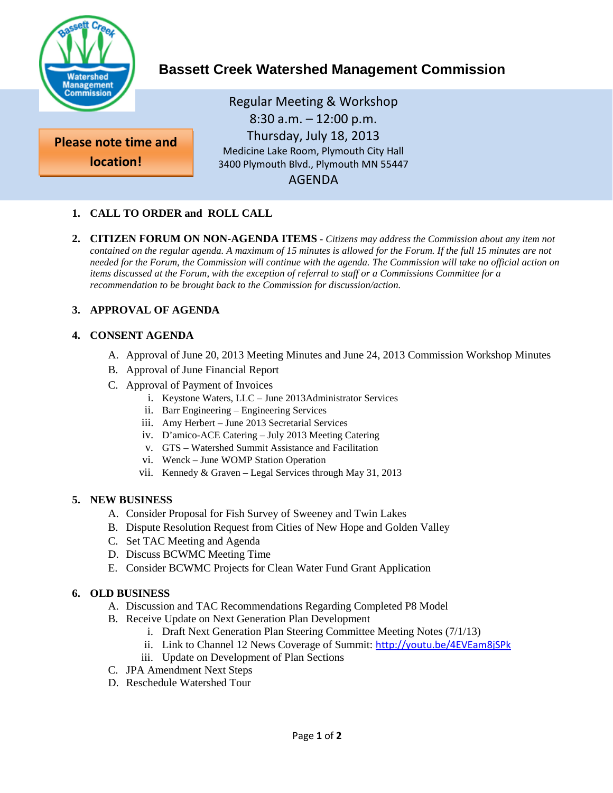

# **Bassett Creek Watershed Management Commission**

**Please note time and location!**

Regular Meeting & Workshop 8:30 a.m. – 12:00 p.m. Thursday, July 18, 2013 Medicine Lake Room, Plymouth City Hall 3400 Plymouth Blvd., Plymouth MN 55447 AGENDA

# **1. CALL TO ORDER and ROLL CALL**

**2. CITIZEN FORUM ON NON-AGENDA ITEMS -** *Citizens may address the Commission about any item not contained on the regular agenda. A maximum of 15 minutes is allowed for the Forum. If the full 15 minutes are not needed for the Forum, the Commission will continue with the agenda. The Commission will take no official action on items discussed at the Forum, with the exception of referral to staff or a Commissions Committee for a recommendation to be brought back to the Commission for discussion/action.*

# **3. APPROVAL OF AGENDA**

#### **4. CONSENT AGENDA**

- A. Approval of June 20, 2013 Meeting Minutes and June 24, 2013 Commission Workshop Minutes
- B. Approval of June Financial Report
- C. Approval of Payment of Invoices
	- i. Keystone Waters, LLC June 2013Administrator Services
	- ii. Barr Engineering Engineering Services
	- iii. Amy Herbert June 2013 Secretarial Services
	- iv. D'amico-ACE Catering July 2013 Meeting Catering
	- v. GTS Watershed Summit Assistance and Facilitation
	- vi. Wenck June WOMP Station Operation
	- vii. Kennedy & Graven Legal Services through May 31, 2013

#### **5. NEW BUSINESS**

- A. Consider Proposal for Fish Survey of Sweeney and Twin Lakes
- B. Dispute Resolution Request from Cities of New Hope and Golden Valley
- C. Set TAC Meeting and Agenda
- D. Discuss BCWMC Meeting Time
- E. Consider BCWMC Projects for Clean Water Fund Grant Application

#### **6. OLD BUSINESS**

- A. Discussion and TAC Recommendations Regarding Completed P8 Model
- B. Receive Update on Next Generation Plan Development
	- i. Draft Next Generation Plan Steering Committee Meeting Notes (7/1/13)
	- ii. Link to Channel 12 News Coverage of Summit: <http://youtu.be/4EVEam8jSPk>
	- iii. Update on Development of Plan Sections
- C. JPA Amendment Next Steps
- D. Reschedule Watershed Tour